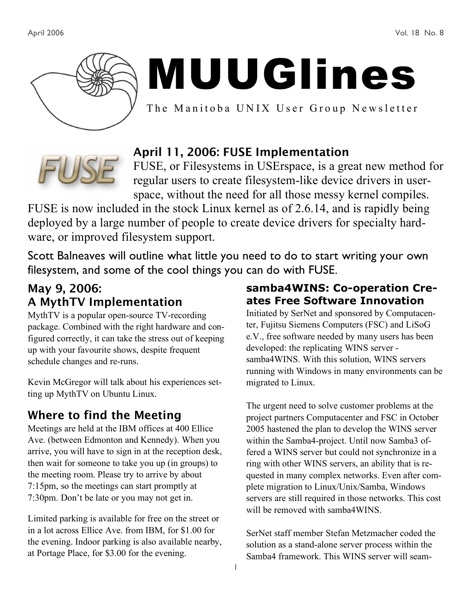

# MUUGlines

The Manitoba UNIX User Group Newsletter



# April 11, 2006: FUSE Implementation

FUSE, or Filesystems in USErspace, is a great new method for regular users to create filesystem-like device drivers in userspace, without the need for all those messy kernel compiles.

FUSE is now included in the stock Linux kernel as of 2.6.14, and is rapidly being deployed by a large number of people to create device drivers for specialty hardware, or improved filesystem support.

Scott Balneaves will outline what little you need to do to start writing your own filesystem, and some of the cool things you can do with FUSE.

## May 9, 2006: A MythTV Implementation

MythTV is a popular open-source TV-recording package. Combined with the right hardware and configured correctly, it can take the stress out of keeping up with your favourite shows, despite frequent schedule changes and re-runs.

Kevin McGregor will talk about his experiences setting up MythTV on Ubuntu Linux.

# Where to find the Meeting

Meetings are held at the IBM offices at 400 Ellice Ave. (between Edmonton and Kennedy). When you arrive, you will have to sign in at the reception desk, then wait for someone to take you up (in groups) to the meeting room. Please try to arrive by about 7:15pm, so the meetings can start promptly at 7:30pm. Don't be late or you may not get in.

Limited parking is available for free on the street or in a lot across Ellice Ave. from IBM, for \$1.00 for the evening. Indoor parking is also available nearby, at Portage Place, for \$3.00 for the evening.

#### **samba4WINS: Co-operation Creates Free Software Innovation**

Initiated by SerNet and sponsored by Computacenter, Fujitsu Siemens Computers (FSC) and LiSoG e.V., free software needed by many users has been developed: the replicating WINS server samba4WINS. With this solution, WINS servers running with Windows in many environments can be migrated to Linux.

The urgent need to solve customer problems at the project partners Computacenter and FSC in October 2005 hastened the plan to develop the WINS server within the Samba4-project. Until now Samba3 offered a WINS server but could not synchronize in a ring with other WINS servers, an ability that is requested in many complex networks. Even after complete migration to Linux/Unix/Samba, Windows servers are still required in those networks. This cost will be removed with samba4WINS.

SerNet staff member Stefan Metzmacher coded the solution as a stand-alone server process within the Samba4 framework. This WINS server will seam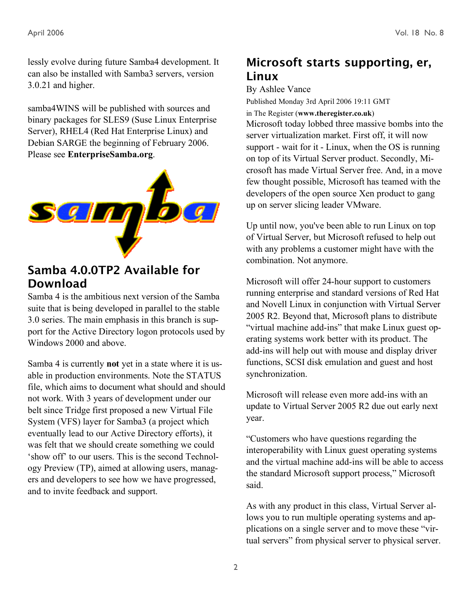lessly evolve during future Samba4 development. It can also be installed with Samba3 servers, version 3.0.21 and higher.

samba4WINS will be published with sources and binary packages for SLES9 (Suse Linux Enterprise Server), RHEL4 (Red Hat Enterprise Linux) and Debian SARGE the beginning of February 2006. Please see **EnterpriseSamba.org**.



### Samba 4.0.0TP2 Available for Download

Samba 4 is the ambitious next version of the Samba suite that is being developed in parallel to the stable 3.0 series. The main emphasis in this branch is support for the Active Directory logon protocols used by Windows 2000 and above.

Samba 4 is currently **not** yet in a state where it is usable in production environments. Note the STATUS file, which aims to document what should and should not work. With 3 years of development under our belt since Tridge first proposed a new Virtual File System (VFS) layer for Samba3 (a project which eventually lead to our Active Directory efforts), it was felt that we should create something we could 'show off' to our users. This is the second Technology Preview (TP), aimed at allowing users, managers and developers to see how we have progressed, and to invite feedback and support.

# Microsoft starts supporting, er, Linux

By Ashlee Vance

Published Monday 3rd April 2006 19:11 GMT in The Register (**www.theregister.co.uk**) Microsoft today lobbed three massive bombs into the server virtualization market. First off, it will now support - wait for it - Linux, when the OS is running on top of its Virtual Server product. Secondly, Microsoft has made Virtual Server free. And, in a move few thought possible, Microsoft has teamed with the developers of the open source Xen product to gang up on server slicing leader VMware.

Up until now, you've been able to run Linux on top of Virtual Server, but Microsoft refused to help out with any problems a customer might have with the combination. Not anymore.

Microsoft will offer 24-hour support to customers running enterprise and standard versions of Red Hat and Novell Linux in conjunction with Virtual Server 2005 R2. Beyond that, Microsoft plans to distribute "virtual machine add-ins" that make Linux guest operating systems work better with its product. The add-ins will help out with mouse and display driver functions, SCSI disk emulation and guest and host synchronization.

Microsoft will release even more add-ins with an update to Virtual Server 2005 R2 due out early next year.

"Customers who have questions regarding the interoperability with Linux guest operating systems and the virtual machine add-ins will be able to access the standard Microsoft support process," Microsoft said.

As with any product in this class, Virtual Server allows you to run multiple operating systems and applications on a single server and to move these "virtual servers" from physical server to physical server.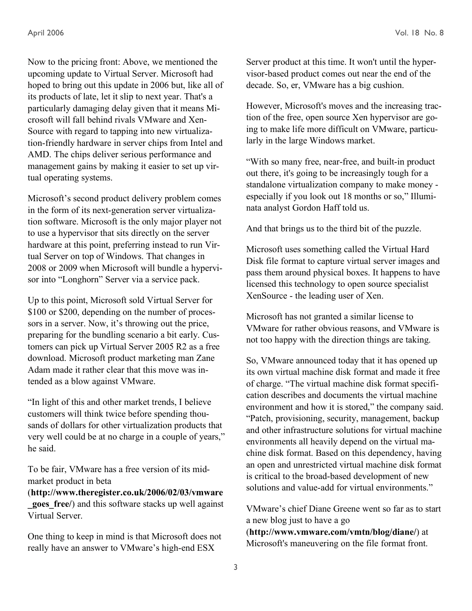Now to the pricing front: Above, we mentioned the upcoming update to Virtual Server. Microsoft had hoped to bring out this update in 2006 but, like all of its products of late, let it slip to next year. That's a particularly damaging delay given that it means Microsoft will fall behind rivals VMware and Xen-Source with regard to tapping into new virtualization-friendly hardware in server chips from Intel and AMD. The chips deliver serious performance and management gains by making it easier to set up virtual operating systems.

Microsoft's second product delivery problem comes in the form of its next-generation server virtualization software. Microsoft is the only major player not to use a hypervisor that sits directly on the server hardware at this point, preferring instead to run Virtual Server on top of Windows. That changes in 2008 or 2009 when Microsoft will bundle a hypervisor into "Longhorn" Server via a service pack.

Up to this point, Microsoft sold Virtual Server for \$100 or \$200, depending on the number of processors in a server. Now, it's throwing out the price, preparing for the bundling scenario a bit early. Customers can pick up Virtual Server 2005 R2 as a free download. Microsoft product marketing man Zane Adam made it rather clear that this move was intended as a blow against VMware.

"In light of this and other market trends, I believe customers will think twice before spending thousands of dollars for other virtualization products that very well could be at no charge in a couple of years," he said.

To be fair, VMware has a free version of its midmarket product in beta

(**http://www.theregister.co.uk/2006/02/03/vmware goes free***()* and this software stacks up well against Virtual Server.

One thing to keep in mind is that Microsoft does not really have an answer to VMware's high-end ESX

Server product at this time. It won't until the hypervisor-based product comes out near the end of the decade. So, er, VMware has a big cushion.

However, Microsoft's moves and the increasing traction of the free, open source Xen hypervisor are going to make life more difficult on VMware, particularly in the large Windows market.

"With so many free, near-free, and built-in product out there, it's going to be increasingly tough for a standalone virtualization company to make money especially if you look out 18 months or so," Illuminata analyst Gordon Haff told us.

And that brings us to the third bit of the puzzle.

Microsoft uses something called the Virtual Hard Disk file format to capture virtual server images and pass them around physical boxes. It happens to have licensed this technology to open source specialist XenSource - the leading user of Xen.

Microsoft has not granted a similar license to VMware for rather obvious reasons, and VMware is not too happy with the direction things are taking.

So, VMware announced today that it has opened up its own virtual machine disk format and made it free of charge. "The virtual machine disk format specification describes and documents the virtual machine environment and how it is stored," the company said. "Patch, provisioning, security, management, backup and other infrastructure solutions for virtual machine environments all heavily depend on the virtual machine disk format. Based on this dependency, having an open and unrestricted virtual machine disk format is critical to the broad-based development of new solutions and value-add for virtual environments."

VMware's chief Diane Greene went so far as to start a new blog just to have a go

(**http://www.vmware.com/vmtn/blog/diane/**) at Microsoft's maneuvering on the file format front.